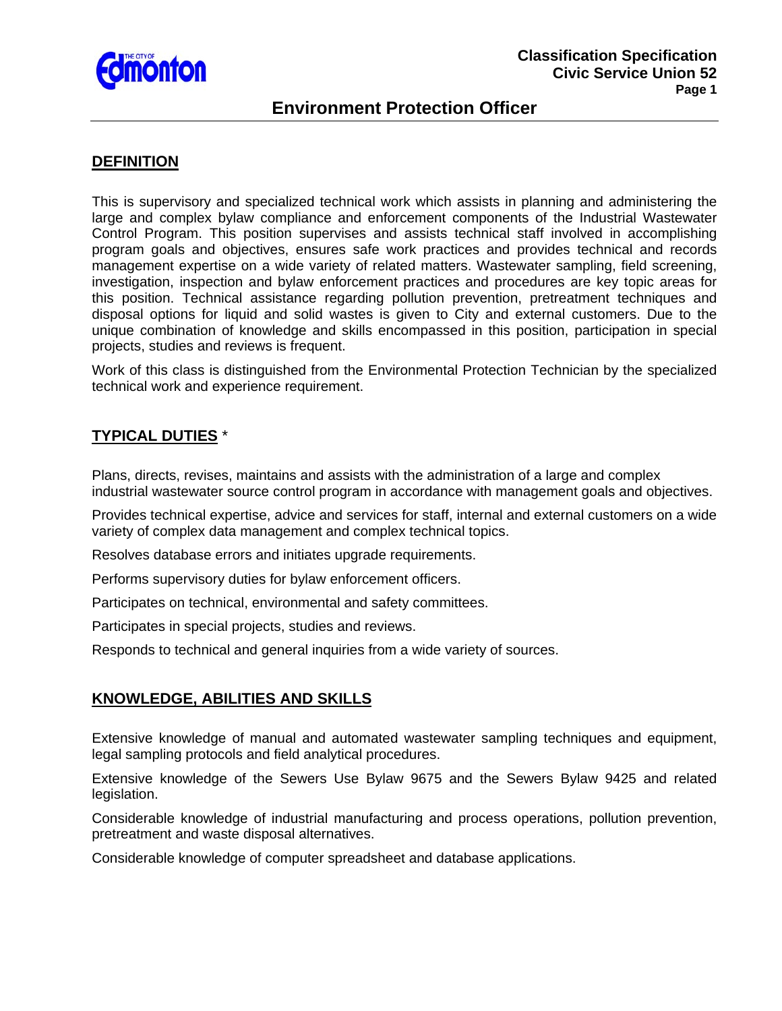

# **Environment Protection Officer**

### **DEFINITION**

This is supervisory and specialized technical work which assists in planning and administering the large and complex bylaw compliance and enforcement components of the Industrial Wastewater Control Program. This position supervises and assists technical staff involved in accomplishing program goals and objectives, ensures safe work practices and provides technical and records management expertise on a wide variety of related matters. Wastewater sampling, field screening, investigation, inspection and bylaw enforcement practices and procedures are key topic areas for this position. Technical assistance regarding pollution prevention, pretreatment techniques and disposal options for liquid and solid wastes is given to City and external customers. Due to the unique combination of knowledge and skills encompassed in this position, participation in special projects, studies and reviews is frequent.

Work of this class is distinguished from the Environmental Protection Technician by the specialized technical work and experience requirement.

## **TYPICAL DUTIES** \*

Plans, directs, revises, maintains and assists with the administration of a large and complex industrial wastewater source control program in accordance with management goals and objectives.

Provides technical expertise, advice and services for staff, internal and external customers on a wide variety of complex data management and complex technical topics.

Resolves database errors and initiates upgrade requirements.

Performs supervisory duties for bylaw enforcement officers.

Participates on technical, environmental and safety committees.

Participates in special projects, studies and reviews.

Responds to technical and general inquiries from a wide variety of sources.

# **KNOWLEDGE, ABILITIES AND SKILLS**

Extensive knowledge of manual and automated wastewater sampling techniques and equipment, legal sampling protocols and field analytical procedures.

Extensive knowledge of the Sewers Use Bylaw 9675 and the Sewers Bylaw 9425 and related legislation.

Considerable knowledge of industrial manufacturing and process operations, pollution prevention, pretreatment and waste disposal alternatives.

Considerable knowledge of computer spreadsheet and database applications.